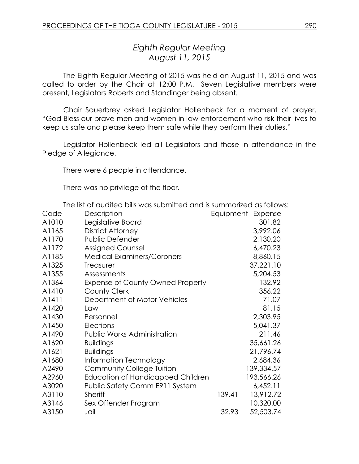# *Eighth Regular Meeting August 11, 2015*

The Eighth Regular Meeting of 2015 was held on August 11, 2015 and was called to order by the Chair at 12:00 P.M. Seven Legislative members were present, Legislators Roberts and Standinger being absent.

Chair Sauerbrey asked Legislator Hollenbeck for a moment of prayer. "God Bless our brave men and women in law enforcement who risk their lives to keep us safe and please keep them safe while they perform their duties."

Legislator Hollenbeck led all Legislators and those in attendance in the Pledge of Allegiance.

There were 6 people in attendance.

There was no privilege of the floor.

The list of audited bills was submitted and is summarized as follows:

| <u>Code</u> | Description                             | <u>Equipment</u> | <b>Expense</b> |
|-------------|-----------------------------------------|------------------|----------------|
| A1010       | Legislative Board                       |                  | 301.82         |
| A1165       | District Attorney                       |                  | 3,992.06       |
| A1170       | Public Defender                         |                  | 2,130.20       |
| A1172       | <b>Assigned Counsel</b>                 |                  | 6,470.23       |
| A1185       | <b>Medical Examiners/Coroners</b>       |                  | 8,860.15       |
| A1325       | Treasurer                               |                  | 37,221.10      |
| A1355       | Assessments                             |                  | 5,204.53       |
| A1364       | <b>Expense of County Owned Property</b> |                  | 132.92         |
| A1410       | <b>County Clerk</b>                     |                  | 356.22         |
| A1411       | Department of Motor Vehicles            |                  | 71.07          |
| A1420       | Law                                     |                  | 81.15          |
| A1430       | Personnel                               |                  | 2,303.95       |
| A1450       | Elections                               |                  | 5,041.37       |
| A1490       | <b>Public Works Administration</b>      |                  | 211.46         |
| A1620       | <b>Buildings</b>                        |                  | 35,661.26      |
| A1621       | <b>Buildings</b>                        |                  | 21,796.74      |
| A1680       | Information Technology                  |                  | 2,684.36       |
| A2490       | <b>Community College Tuition</b>        |                  | 139,334.57     |
| A2960       | Education of Handicapped Children       |                  | 193,566.26     |
| A3020       | Public Safety Comm E911 System          |                  | 6,452.11       |
| A3110       | Sheriff                                 | 139.41           | 13,912.72      |
| A3146       | Sex Offender Program                    |                  | 10,320.00      |
| A3150       | Jail                                    | 32.93            | 52,503.74      |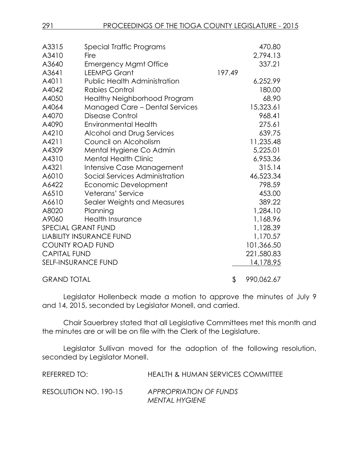| A3315               | Special Traffic Programs              |        | 470.80     |
|---------------------|---------------------------------------|--------|------------|
| A3410               | Fire                                  |        | 2,794.13   |
| A3640               | <b>Emergency Mgmt Office</b>          |        | 337.21     |
| A3641               | <b>LEEMPG Grant</b>                   | 197.49 |            |
| A4011               | <b>Public Health Administration</b>   |        | 6,252.99   |
| A4042               | <b>Rabies Control</b>                 |        | 180.00     |
| A4050               | Healthy Neighborhood Program          |        | 68.90      |
| A4064               | <b>Managed Care - Dental Services</b> |        | 15,323.61  |
| A4070               | Disease Control                       |        | 968.41     |
| A4090               | <b>Environmental Health</b>           |        | 275.61     |
| A4210               | Alcohol and Drug Services             |        | 639.75     |
| A4211               | Council on Alcoholism                 |        | 11,235.48  |
| A4309               | Mental Hygiene Co Admin               |        | 5,225.01   |
| A4310               | <b>Mental Health Clinic</b>           |        | 6,953.36   |
| A4321               | Intensive Case Management             |        | 315.14     |
| A6010               | Social Services Administration        |        | 46,523.34  |
| A6422               | Economic Development                  |        | 798.59     |
| A6510               | Veterans' Service                     |        | 453.00     |
| A6610               | Sealer Weights and Measures           |        | 389.22     |
| A8020               | Planning                              |        | 1,284.10   |
| A9060               | <b>Health Insurance</b>               |        | 1,168.96   |
|                     | SPECIAL GRANT FUND                    |        | 1,128.39   |
|                     | <b>LIABILITY INSURANCE FUND</b>       |        | 1,170.57   |
|                     | <b>COUNTY ROAD FUND</b>               |        | 101,366.50 |
| <b>CAPITAL FUND</b> |                                       |        | 221,580.83 |
|                     | <b>SELF-INSURANCE FUND</b>            |        | 14,178.95  |
| <b>GRAND TOTAL</b>  |                                       | \$     | 990,062.67 |

Legislator Hollenbeck made a motion to approve the minutes of July 9 and 14, 2015, seconded by Legislator Monell, and carried.

Chair Sauerbrey stated that all Legislative Committees met this month and the minutes are or will be on file with the Clerk of the Legislature.

Legislator Sullivan moved for the adoption of the following resolution, seconded by Legislator Monell.

| REFERRED TO:          | <b>HEALTH &amp; HUMAN SERVICES COMMITTEE</b> |
|-----------------------|----------------------------------------------|
| RESOLUTION NO. 190-15 | APPROPRIATION OF FUNDS                       |
|                       | <b>MENTAL HYGIENE</b>                        |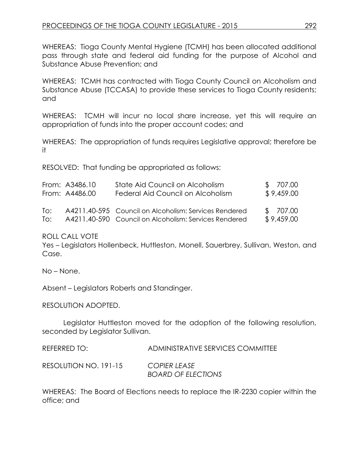WHEREAS: Tioga County Mental Hygiene (TCMH) has been allocated additional pass through state and federal aid funding for the purpose of Alcohol and Substance Abuse Prevention; and

WHEREAS: TCMH has contracted with Tioga County Council on Alcoholism and Substance Abuse (TCCASA) to provide these services to Tioga County residents; and

WHEREAS: TCMH will incur no local share increase, yet this will require an appropriation of funds into the proper account codes; and

WHEREAS: The appropriation of funds requires Legislative approval; therefore be it

RESOLVED: That funding be appropriated as follows:

|                                              | From: A3486.10 | State Aid Council on Alcoholism                       | \$707.00   |
|----------------------------------------------|----------------|-------------------------------------------------------|------------|
|                                              | From: A4486.00 | Federal Aid Council on Alcoholism                     | \$9,459.00 |
| T∩∶                                          |                | A4211.40-595 Council on Alcoholism: Services Rendered | \$707.00   |
| $\overline{1}$ $\overline{1}$ $\overline{1}$ |                | A4211.40-590 Council on Alcoholism: Services Rendered | \$9,459.00 |

ROLL CALL VOTE

Yes – Legislators Hollenbeck, Huttleston, Monell, Sauerbrey, Sullivan, Weston, and Case.

No – None.

Absent – Legislators Roberts and Standinger.

RESOLUTION ADOPTED.

Legislator Huttleston moved for the adoption of the following resolution, seconded by Legislator Sullivan.

| REFERRED TO:          | ADMINISTRATIVE SERVICES COMMITTEE         |
|-----------------------|-------------------------------------------|
| RESOLUTION NO. 191-15 | COPIER LEASE<br><b>BOARD OF ELECTIONS</b> |

WHEREAS: The Board of Elections needs to replace the IR-2230 copier within the office; and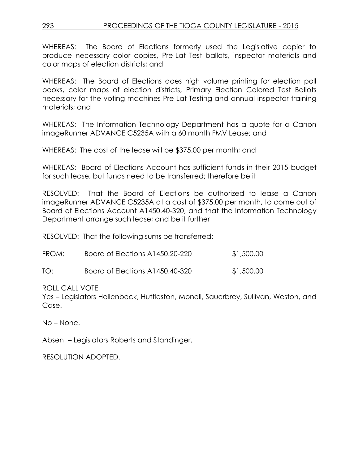WHEREAS: The Board of Elections formerly used the Legislative copier to produce necessary color copies, Pre-Lat Test ballots, inspector materials and color maps of election districts; and

WHEREAS: The Board of Elections does high volume printing for election poll books, color maps of election districts, Primary Election Colored Test Ballots necessary for the voting machines Pre-Lat Testing and annual inspector training materials; and

WHEREAS: The Information Technology Department has a quote for a Canon imageRunner ADVANCE C5235A with a 60 month FMV Lease; and

WHEREAS: The cost of the lease will be \$375.00 per month; and

WHEREAS: Board of Elections Account has sufficient funds in their 2015 budget for such lease, but funds need to be transferred; therefore be it

RESOLVED: That the Board of Elections be authorized to lease a Canon imageRunner ADVANCE C5235A at a cost of \$375.00 per month, to come out of Board of Elections Account A1450.40-320, and that the Information Technology Department arrange such lease; and be it further

RESOLVED: That the following sums be transferred:

| FROM: | Board of Elections A1450.20-220 | \$1,500.00 |
|-------|---------------------------------|------------|
| TO:   | Board of Elections A1450.40-320 | \$1,500.00 |

ROLL CALL VOTE

Yes – Legislators Hollenbeck, Huttleston, Monell, Sauerbrey, Sullivan, Weston, and Case.

No – None.

Absent – Legislators Roberts and Standinger.

RESOLUTION ADOPTED.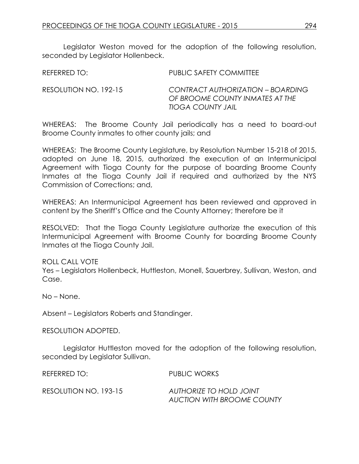Legislator Weston moved for the adoption of the following resolution, seconded by Legislator Hollenbeck.

| REFERRED TO:          | PUBLIC SAFETY COMMITTEE                                                                          |
|-----------------------|--------------------------------------------------------------------------------------------------|
| RESOLUTION NO. 192-15 | CONTRACT AUTHORIZATION - BOARDING<br>OF BROOME COUNTY INMATES AT THE<br><b>TIOGA COUNTY JAIL</b> |

WHEREAS: The Broome County Jail periodically has a need to board-out Broome County inmates to other county jails; and

WHEREAS: The Broome County Legislature, by Resolution Number 15-218 of 2015, adopted on June 18, 2015, authorized the execution of an Intermunicipal Agreement with Tioga County for the purpose of boarding Broome County Inmates at the Tioga County Jail if required and authorized by the NYS Commission of Corrections; and,

WHEREAS: An Intermunicipal Agreement has been reviewed and approved in content by the Sheriff's Office and the County Attorney; therefore be it

RESOLVED: That the Tioga County Legislature authorize the execution of this Intermunicipal Agreement with Broome County for boarding Broome County Inmates at the Tioga County Jail.

ROLL CALL VOTE

Yes – Legislators Hollenbeck, Huttleston, Monell, Sauerbrey, Sullivan, Weston, and Case.

No – None.

Absent – Legislators Roberts and Standinger.

RESOLUTION ADOPTED.

Legislator Huttleston moved for the adoption of the following resolution, seconded by Legislator Sullivan.

REFERRED TO: PUBLIC WORKS

RESOLUTION NO. 193-15 *AUTHORIZE TO HOLD JOINT* 

*AUCTION WITH BROOME COUNTY*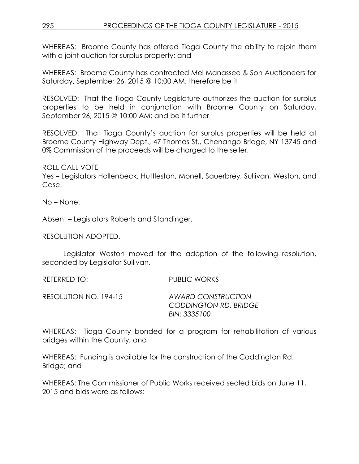WHEREAS: Broome County has offered Tioga County the ability to rejoin them with a joint auction for surplus property; and

WHEREAS: Broome County has contracted Mel Manassee & Son Auctioneers for Saturday, September 26, 2015 @ 10:00 AM; therefore be it

RESOLVED: That the Tioga County Legislature authorizes the auction for surplus properties to be held in conjunction with Broome County on Saturday, September 26, 2015 @ 10:00 AM; and be it further

RESOLVED: That Tioga County's auction for surplus properties will be held at Broome County Highway Dept., 47 Thomas St., Chenango Bridge, NY 13745 and 0% Commission of the proceeds will be charged to the seller.

ROLL CALL VOTE

Yes – Legislators Hollenbeck, Huttleston, Monell, Sauerbrey, Sullivan, Weston, and Case.

No – None.

Absent – Legislators Roberts and Standinger.

RESOLUTION ADOPTED.

Legislator Weston moved for the adoption of the following resolution, seconded by Legislator Sullivan.

REFERRED TO: PUBLIC WORKS

RESOLUTION NO. 194-15 *AWARD CONSTRUCTION CODDINGTON RD. BRIDGE BIN: 3335100* 

WHEREAS: Tioga County bonded for a program for rehabilitation of various bridges within the County; and

WHEREAS: Funding is available for the construction of the Coddington Rd. Bridge; and

WHEREAS: The Commissioner of Public Works received sealed bids on June 11, 2015 and bids were as follows: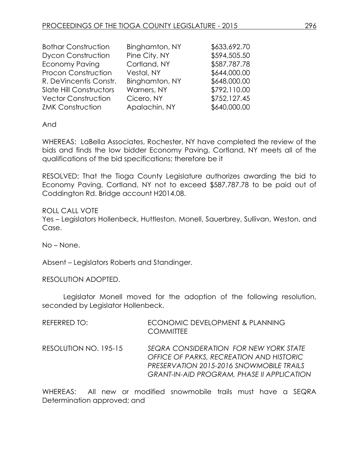| <b>Bothar Construction</b>     | Binghamton, NY | \$633,692.70 |
|--------------------------------|----------------|--------------|
| <b>Dycon Construction</b>      | Pine City, NY  | \$594,505.50 |
| <b>Economy Paving</b>          | Cortland, NY   | \$587,787.78 |
| <b>Procon Construction</b>     | Vestal, NY     | \$644,000.00 |
| R. DeVincentis Constr.         | Binghamton, NY | \$648,000.00 |
| <b>Slate Hill Constructors</b> | Warners, NY    | \$792,110.00 |
| <b>Vector Construction</b>     | Cicero, NY     | \$752,127.45 |
| <b>ZMK Construction</b>        | Apalachin, NY  | \$640,000.00 |

And

WHEREAS: LaBella Associates, Rochester, NY have completed the review of the bids and finds the low bidder Economy Paving, Cortland, NY meets all of the qualifications of the bid specifications; therefore be it

RESOLVED: That the Tioga County Legislature authorizes awarding the bid to Economy Paving, Cortland, NY not to exceed \$587,787.78 to be paid out of Coddington Rd. Bridge account H2014.08.

ROLL CALL VOTE Yes – Legislators Hollenbeck, Huttleston, Monell, Sauerbrey, Sullivan, Weston, and Case.

No – None.

Absent – Legislators Roberts and Standinger.

RESOLUTION ADOPTED.

Legislator Monell moved for the adoption of the following resolution, seconded by Legislator Hollenbeck.

| REFERRED TO:          | ECONOMIC DEVELOPMENT & PLANNING<br><b>COMMITTEE</b>                                                                                                                                 |
|-----------------------|-------------------------------------------------------------------------------------------------------------------------------------------------------------------------------------|
| RESOLUTION NO. 195-15 | SEQRA CONSIDERATION FOR NEW YORK STATE<br>OFFICE OF PARKS, RECREATION AND HISTORIC<br>PRESERVATION 2015-2016 SNOWMOBILE TRAILS<br><b>GRANT-IN-AID PROGRAM, PHASE II APPLICATION</b> |

WHEREAS: All new or modified snowmobile trails must have a SEQRA Determination approved; and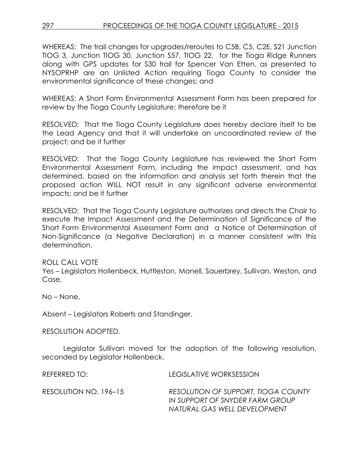WHEREAS: The trail changes for upgrades/reroutes to C5B, C5, C2E, S21 Junction TIOG 3, Junction TIOG 30, Junction S57, TIOG 22, for the Tioga Ridge Runners along with GPS updates for S30 trail for Spencer Van Etten, as presented to NYSOPRHP are an Unlisted Action requiring Tioga County to consider the environmental significance of these changes; and

WHEREAS: A Short Form Environmental Assessment Form has been prepared for review by the Tioga County Legislature; therefore be it

RESOLVED: That the Tioga County Legislature does hereby declare itself to be the Lead Agency and that it will undertake an uncoordinated review of the project; and be it further

RESOLVED: That the Tioga County Legislature has reviewed the Short Form Environmental Assessment Form, including the impact assessment, and has determined, based on the information and analysis set forth therein that the proposed action WILL NOT result in any significant adverse environmental impacts; and be it further

RESOLVED: That the Tioga County Legislature authorizes and directs the Chair to execute the Impact Assessment and the Determination of Significance of the Short Form Environmental Assessment Form and a Notice of Determination of Non-Significance (a Negative Declaration) in a manner consistent with this determination.

ROLL CALL VOTE

Yes – Legislators Hollenbeck, Huttleston, Monell, Sauerbrey, Sullivan, Weston, and Case.

No – None.

Absent – Legislators Roberts and Standinger.

RESOLUTION ADOPTED.

Legislator Sullivan moved for the adoption of the following resolution, seconded by Legislator Hollenbeck.

| REFERRED TO:          | LEGISLATIVE WORKSESSION                                                                                       |
|-----------------------|---------------------------------------------------------------------------------------------------------------|
| RESOLUTION NO. 196–15 | <b>RESOLUTION OF SUPPORT, TIOGA COUNTY</b><br>IN SUPPORT OF SNYDER FARM GROUP<br>NATURAL GAS WELL DEVELOPMENT |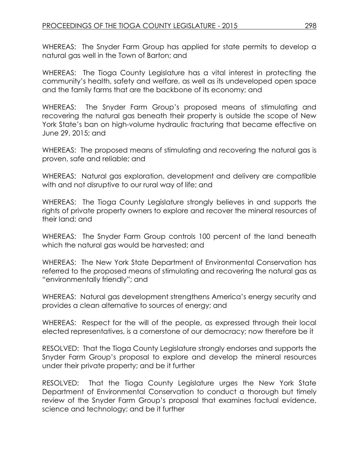WHEREAS: The Snyder Farm Group has applied for state permits to develop a natural gas well in the Town of Barton; and

WHEREAS: The Tioga County Legislature has a vital interest in protecting the community's health, safety and welfare, as well as its undeveloped open space and the family farms that are the backbone of its economy; and

WHEREAS: The Snyder Farm Group's proposed means of stimulating and recovering the natural gas beneath their property is outside the scope of New York State's ban on high-volume hydraulic fracturing that became effective on June 29, 2015; and

WHEREAS: The proposed means of stimulating and recovering the natural gas is proven, safe and reliable; and

WHEREAS: Natural gas exploration, development and delivery are compatible with and not disruptive to our rural way of life; and

WHEREAS: The Tioga County Legislature strongly believes in and supports the rights of private property owners to explore and recover the mineral resources of their land; and

WHEREAS: The Snyder Farm Group controls 100 percent of the land beneath which the natural gas would be harvested; and

WHEREAS: The New York State Department of Environmental Conservation has referred to the proposed means of stimulating and recovering the natural gas as "environmentally friendly"; and

WHEREAS: Natural gas development strengthens America's energy security and provides a clean alternative to sources of energy; and

WHEREAS: Respect for the will of the people, as expressed through their local elected representatives, is a cornerstone of our democracy; now therefore be it

RESOLVED: That the Tioga County Legislature strongly endorses and supports the Snyder Farm Group's proposal to explore and develop the mineral resources under their private property; and be it further

RESOLVED: That the Tioga County Legislature urges the New York State Department of Environmental Conservation to conduct a thorough but timely review of the Snyder Farm Group's proposal that examines factual evidence, science and technology; and be it further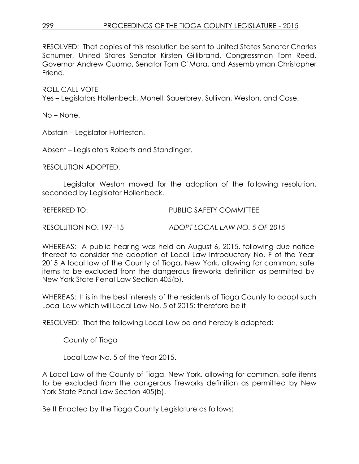RESOLVED: That copies of this resolution be sent to United States Senator Charles Schumer, United States Senator Kirsten Gillibrand, Congressman Tom Reed, Governor Andrew Cuomo, Senator Tom O'Mara, and Assemblyman Christopher Friend.

ROLL CALL VOTE

Yes – Legislators Hollenbeck, Monell, Sauerbrey, Sullivan, Weston, and Case.

No – None.

Abstain – Legislator Huttleston.

Absent – Legislators Roberts and Standinger.

RESOLUTION ADOPTED.

Legislator Weston moved for the adoption of the following resolution, seconded by Legislator Hollenbeck.

REFERRED TO: PUBLIC SAFETY COMMITTEE

RESOLUTION NO. 197–15 *ADOPT LOCAL LAW NO. 5 OF 2015*

WHEREAS: A public hearing was held on August 6, 2015, following due notice thereof to consider the adoption of Local Law Introductory No. F of the Year 2015 A local law of the County of Tioga, New York, allowing for common, safe items to be excluded from the dangerous fireworks definition as permitted by New York State Penal Law Section 405(b).

WHEREAS: It is in the best interests of the residents of Tioga County to adopt such Local Law which will Local Law No. 5 of 2015; therefore be it

RESOLVED: That the following Local Law be and hereby is adopted;

County of Tioga

Local Law No. 5 of the Year 2015.

A Local Law of the County of Tioga, New York, allowing for common, safe items to be excluded from the dangerous fireworks definition as permitted by New York State Penal Law Section 405(b).

Be It Enacted by the Tioga County Legislature as follows: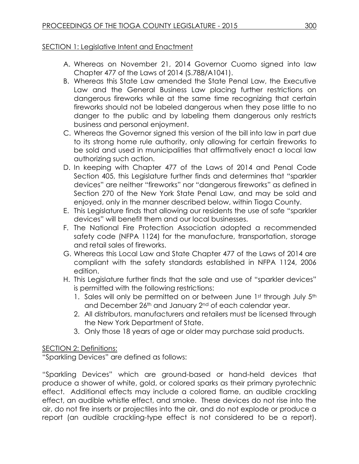### SECTION 1: Legislative Intent and Enactment

- A. Whereas on November 21, 2014 Governor Cuomo signed into law Chapter 477 of the Laws of 2014 (S.788/A1041).
- B. Whereas this State Law amended the State Penal Law, the Executive Law and the General Business Law placing further restrictions on dangerous fireworks while at the same time recognizing that certain fireworks should not be labeled dangerous when they pose little to no danger to the public and by labeling them dangerous only restricts business and personal enjoyment.
- C. Whereas the Governor signed this version of the bill into law in part due to its strong home rule authority, only allowing for certain fireworks to be sold and used in municipalities that affirmatively enact a local law authorizing such action.
- D. In keeping with Chapter 477 of the Laws of 2014 and Penal Code Section 405, this Legislature further finds and determines that "sparkler devices" are neither "fireworks" nor "dangerous fireworks" as defined in Section 270 of the New York State Penal Law, and may be sold and enjoyed, only in the manner described below, within Tioga County.
- E. This Legislature finds that allowing our residents the use of safe "sparkler devices" will benefit them and our local businesses.
- F. The National Fire Protection Association adopted a recommended safety code (NFPA 1124) for the manufacture, transportation, storage and retail sales of fireworks.
- G. Whereas this Local Law and State Chapter 477 of the Laws of 2014 are compliant with the safety standards established in NFPA 1124, 2006 edition.
- H. This Legislature further finds that the sale and use of "sparkler devices" is permitted with the following restrictions:
	- 1. Sales will only be permitted on or between June 1st through July 5th and December 26<sup>th</sup> and January 2<sup>nd</sup> of each calendar year.
	- 2. All distributors, manufacturers and retailers must be licensed through the New York Department of State.
	- 3. Only those 18 years of age or older may purchase said products.

### SECTION 2: Definitions:

"Sparkling Devices" are defined as follows:

"Sparkling Devices" which are ground-based or hand-held devices that produce a shower of white, gold, or colored sparks as their primary pyrotechnic effect. Additional effects may include a colored flame, an audible crackling effect, an audible whistle effect, and smoke. These devices do not rise into the air, do not fire inserts or projectiles into the air, and do not explode or produce a report (an audible crackling-type effect is not considered to be a report).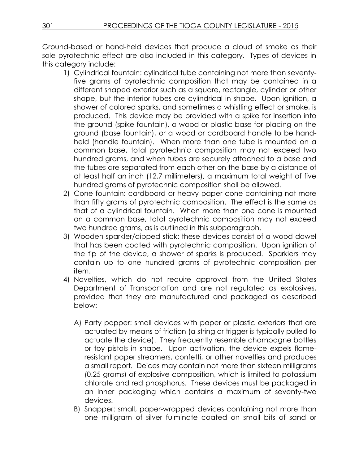Ground-based or hand-held devices that produce a cloud of smoke as their sole pyrotechnic effect are also included in this category. Types of devices in this category include:

- 1) Cylindrical fountain: cylindrical tube containing not more than seventyfive grams of pyrotechnic composition that may be contained in a different shaped exterior such as a square, rectangle, cylinder or other shape, but the interior tubes are cylindrical in shape. Upon ignition, a shower of colored sparks, and sometimes a whistling effect or smoke, is produced. This device may be provided with a spike for insertion into the ground (spike fountain), a wood or plastic base for placing on the ground (base fountain), or a wood or cardboard handle to be handheld (handle fountain). When more than one tube is mounted on a common base, total pyrotechnic composition may not exceed two hundred grams, and when tubes are securely attached to a base and the tubes are separated from each other on the base by a distance of at least half an inch (12.7 millimeters), a maximum total weight of five hundred grams of pyrotechnic composition shall be allowed.
- 2) Cone fountain: cardboard or heavy paper cone containing not more than fifty grams of pyrotechnic composition. The effect is the same as that of a cylindrical fountain. When more than one cone is mounted on a common base, total pyrotechnic composition may not exceed two hundred grams, as is outlined in this subparagraph.
- 3) Wooden sparkler/dipped stick: these devices consist of a wood dowel that has been coated with pyrotechnic composition. Upon ignition of the tip of the device, a shower of sparks is produced. Sparklers may contain up to one hundred grams of pyrotechnic composition per item.
- 4) Novelties, which do not require approval from the United States Department of Transportation and are not regulated as explosives, provided that they are manufactured and packaged as described below:
	- A) Party popper: small devices with paper or plastic exteriors that are actuated by means of friction (a string or trigger is typically pulled to actuate the device). They frequently resemble champagne bottles or toy pistols in shape. Upon activation, the device expels flameresistant paper streamers, confetti, or other novelties and produces a small report. Deices may contain not more than sixteen milligrams (0.25 grams) of explosive composition, which is limited to potassium chlorate and red phosphorus. These devices must be packaged in an inner packaging which contains a maximum of seventy-two devices.
	- B) Snapper: small, paper-wrapped devices containing not more than one milligram of silver fulminate coated on small bits of sand or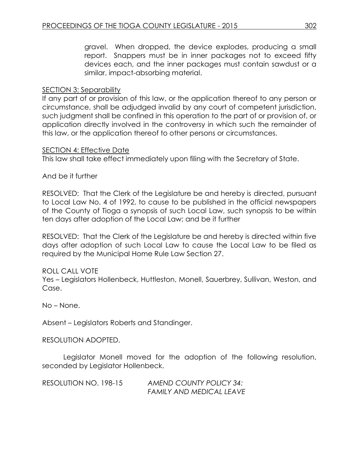gravel. When dropped, the device explodes, producing a small report. Snappers must be in inner packages not to exceed fifty devices each, and the inner packages must contain sawdust or a similar, impact-absorbing material.

### SECTION 3: Separability

If any part of or provision of this law, or the application thereof to any person or circumstance, shall be adjudged invalid by any court of competent jurisdiction, such judgment shall be confined in this operation to the part of or provision of, or application directly involved in the controversy in which such the remainder of this law, or the application thereof to other persons or circumstances.

#### SECTION 4: Effective Date

This law shall take effect immediately upon filing with the Secretary of State.

#### And be it further

RESOLVED: That the Clerk of the Legislature be and hereby is directed, pursuant to Local Law No. 4 of 1992, to cause to be published in the official newspapers of the County of Tioga a synopsis of such Local Law, such synopsis to be within ten days after adoption of the Local Law; and be it further

RESOLVED: That the Clerk of the Legislature be and hereby is directed within five days after adoption of such Local Law to cause the Local Law to be filed as required by the Municipal Home Rule Law Section 27.

### ROLL CALL VOTE

Yes – Legislators Hollenbeck, Huttleston, Monell, Sauerbrey, Sullivan, Weston, and Case.

No – None.

Absent – Legislators Roberts and Standinger.

RESOLUTION ADOPTED.

Legislator Monell moved for the adoption of the following resolution, seconded by Legislator Hollenbeck.

RESOLUTION NO. 198-15 *AMEND COUNTY POLICY 34: FAMILY AND MEDICAL LEAVE*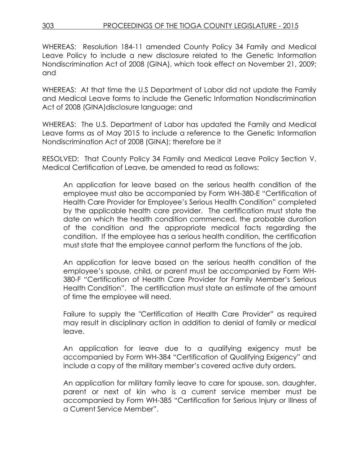WHEREAS: Resolution 184-11 amended County Policy 34 Family and Medical Leave Policy to include a new disclosure related to the Genetic Information Nondiscrimination Act of 2008 (GINA), which took effect on November 21, 2009; and

WHEREAS: At that time the U.S Department of Labor did not update the Family and Medical Leave forms to include the Genetic Information Nondiscrimination Act of 2008 (GINA)disclosure language; and

WHEREAS: The U.S. Department of Labor has updated the Family and Medical Leave forms as of May 2015 to include a reference to the Genetic Information Nondiscrimination Act of 2008 (GINA); therefore be it

RESOLVED: That County Policy 34 Family and Medical Leave Policy Section V, Medical Certification of Leave, be amended to read as follows:

An application for leave based on the serious health condition of the employee must also be accompanied by Form WH-380-E "Certification of Health Care Provider for Employee's Serious Health Condition" completed by the applicable health care provider. The certification must state the date on which the health condition commenced, the probable duration of the condition and the appropriate medical facts regarding the condition. If the employee has a serious health condition, the certification must state that the employee cannot perform the functions of the job.

An application for leave based on the serious health condition of the employee's spouse, child, or parent must be accompanied by Form WH-380-F "Certification of Health Care Provider for Family Member's Serious Health Condition". The certification must state an estimate of the amount of time the employee will need.

Failure to supply the "Certification of Health Care Provider" as required may result in disciplinary action in addition to denial of family or medical leave.

An application for leave due to a qualifying exigency must be accompanied by Form WH-384 "Certification of Qualifying Exigency" and include a copy of the military member's covered active duty orders.

An application for military family leave to care for spouse, son, daughter, parent or next of kin who is a current service member must be accompanied by Form WH-385 "Certification for Serious Injury or Illness of a Current Service Member".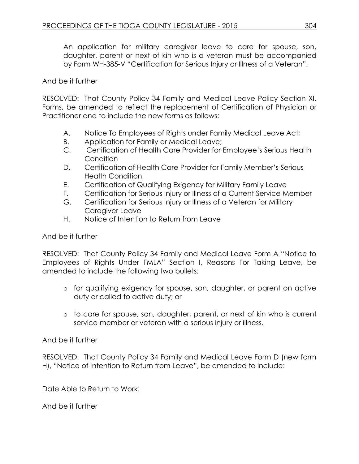An application for military caregiver leave to care for spouse, son, daughter, parent or next of kin who is a veteran must be accompanied by Form WH-385-V "Certification for Serious Injury or Illness of a Veteran".

## And be it further

RESOLVED: That County Policy 34 Family and Medical Leave Policy Section XI, Forms, be amended to reflect the replacement of Certification of Physician or Practitioner and to include the new forms as follows:

- A. Notice To Employees of Rights under Family Medical Leave Act;
- B. Application for Family or Medical Leave;
- C. Certification of Health Care Provider for Employee's Serious Health **Condition**
- D. Certification of Health Care Provider for Family Member's Serious Health Condition
- E. Certification of Qualifying Exigency for Military Family Leave
- F. Certification for Serious Injury or Illness of a Current Service Member
- G. Certification for Serious Injury or Illness of a Veteran for Military Caregiver Leave
- H. Notice of Intention to Return from Leave

## And be it further

RESOLVED: That County Policy 34 Family and Medical Leave Form A "Notice to Employees of Rights Under FMLA" Section I, Reasons For Taking Leave, be amended to include the following two bullets:

- o for qualifying exigency for spouse, son, daughter, or parent on active duty or called to active duty; or
- o to care for spouse, son, daughter, parent, or next of kin who is current service member or veteran with a serious injury or illness.

## And be it further

RESOLVED: That County Policy 34 Family and Medical Leave Form D (new form H), "Notice of Intention to Return from Leave", be amended to include:

Date Able to Return to Work:

And be it further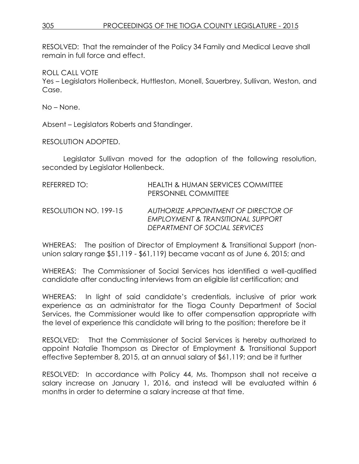RESOLVED: That the remainder of the Policy 34 Family and Medical Leave shall remain in full force and effect.

ROLL CALL VOTE

Yes – Legislators Hollenbeck, Huttleston, Monell, Sauerbrey, Sullivan, Weston, and Case.

No – None.

Absent – Legislators Roberts and Standinger.

RESOLUTION ADOPTED.

Legislator Sullivan moved for the adoption of the following resolution, seconded by Legislator Hollenbeck.

| REFERRED TO:          | <b>HEALTH &amp; HUMAN SERVICES COMMITTEE</b><br>PERSONNEL COMMITTEE                                        |
|-----------------------|------------------------------------------------------------------------------------------------------------|
| RESOLUTION NO. 199-15 | AUTHORIZE APPOINTMENT OF DIRECTOR OF<br>EMPLOYMENT & TRANSITIONAL SUPPORT<br>DEPARTMENT OF SOCIAL SERVICES |

WHEREAS: The position of Director of Employment & Transitional Support (nonunion salary range \$51,119 - \$61,119) became vacant as of June 6, 2015; and

WHEREAS: The Commissioner of Social Services has identified a well-qualified candidate after conducting interviews from an eligible list certification; and

WHEREAS: In light of said candidate's credentials, inclusive of prior work experience as an administrator for the Tioga County Department of Social Services, the Commissioner would like to offer compensation appropriate with the level of experience this candidate will bring to the position; therefore be it

RESOLVED: That the Commissioner of Social Services is hereby authorized to appoint Natalie Thompson as Director of Employment & Transitional Support effective September 8, 2015, at an annual salary of \$61,119; and be it further

RESOLVED: In accordance with Policy 44, Ms. Thompson shall not receive a salary increase on January 1, 2016, and instead will be evaluated within 6 months in order to determine a salary increase at that time.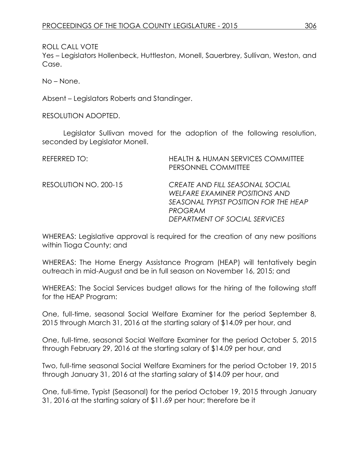ROLL CALL VOTE

Yes – Legislators Hollenbeck, Huttleston, Monell, Sauerbrey, Sullivan, Weston, and Case.

No – None.

Absent – Legislators Roberts and Standinger.

RESOLUTION ADOPTED.

Legislator Sullivan moved for the adoption of the following resolution, seconded by Legislator Monell.

| REFERRED TO:          | <b>HEALTH &amp; HUMAN SERVICES COMMITTEE</b><br>PERSONNEL COMMITTEE                                                                                           |
|-----------------------|---------------------------------------------------------------------------------------------------------------------------------------------------------------|
| RESOLUTION NO. 200-15 | CREATE AND FILL SEASONAL SOCIAL<br>WELFARE EXAMINER POSITIONS AND<br>SEASONAL TYPIST POSITION FOR THE HEAP<br><b>PROGRAM</b><br>DEPARTMENT OF SOCIAL SERVICES |

WHEREAS: Legislative approval is required for the creation of any new positions within Tioga County; and

WHEREAS: The Home Energy Assistance Program (HEAP) will tentatively begin outreach in mid-August and be in full season on November 16, 2015; and

WHEREAS: The Social Services budget allows for the hiring of the following staff for the HEAP Program:

One, full-time, seasonal Social Welfare Examiner for the period September 8, 2015 through March 31, 2016 at the starting salary of \$14.09 per hour, and

One, full-time, seasonal Social Welfare Examiner for the period October 5, 2015 through February 29, 2016 at the starting salary of \$14.09 per hour, and

Two, full-time seasonal Social Welfare Examiners for the period October 19, 2015 through January 31, 2016 at the starting salary of \$14.09 per hour, and

One, full-time, Typist (Seasonal) for the period October 19, 2015 through January 31, 2016 at the starting salary of \$11.69 per hour; therefore be it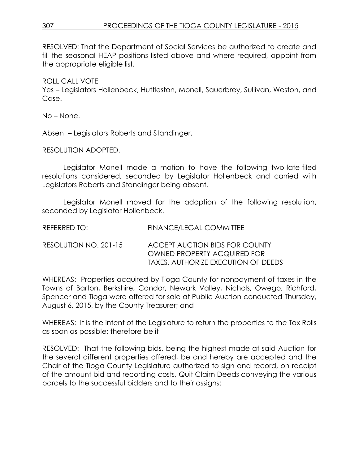RESOLVED: That the Department of Social Services be authorized to create and fill the seasonal HEAP positions listed above and where required, appoint from the appropriate eligible list.

#### ROLL CALL VOTE

Yes – Legislators Hollenbeck, Huttleston, Monell, Sauerbrey, Sullivan, Weston, and Case.

No – None.

Absent – Legislators Roberts and Standinger.

#### RESOLUTION ADOPTED.

Legislator Monell made a motion to have the following two-late-filed resolutions considered, seconded by Legislator Hollenbeck and carried with Legislators Roberts and Standinger being absent.

Legislator Monell moved for the adoption of the following resolution, seconded by Legislator Hollenbeck.

| REFERRED TO:          | FINANCE/LEGAL COMMITTEE                                                                                     |
|-----------------------|-------------------------------------------------------------------------------------------------------------|
| RESOLUTION NO. 201-15 | ACCEPT AUCTION BIDS FOR COUNTY<br><b>OWNED PROPERTY ACQUIRED FOR</b><br>TAXES, AUTHORIZE EXECUTION OF DEEDS |

WHEREAS: Properties acquired by Tioga County for nonpayment of taxes in the Towns of Barton, Berkshire, Candor, Newark Valley, Nichols, Owego, Richford, Spencer and Tioga were offered for sale at Public Auction conducted Thursday, August 6, 2015, by the County Treasurer; and

WHEREAS: It is the intent of the Legislature to return the properties to the Tax Rolls as soon as possible; therefore be it

RESOLVED: That the following bids, being the highest made at said Auction for the several different properties offered, be and hereby are accepted and the Chair of the Tioga County Legislature authorized to sign and record, on receipt of the amount bid and recording costs, Quit Claim Deeds conveying the various parcels to the successful bidders and to their assigns: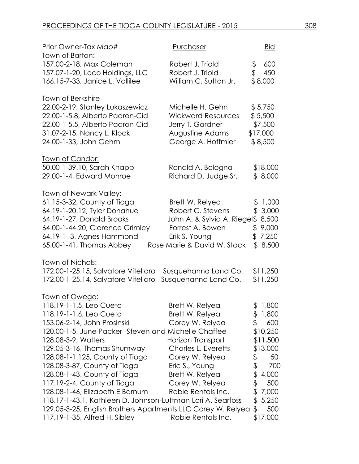| Prior Owner-Tax Map#                                         | Purchaser                    | <b>Bid</b>  |
|--------------------------------------------------------------|------------------------------|-------------|
| <u>Town of Barton:</u>                                       |                              |             |
| 157.00-2-18, Max Coleman                                     | Robert J. Triold             | \$<br>600   |
| 157.07-1-20, Loco Holdings, LLC                              | Robert J. Triold             | \$<br>450   |
| 166.15-7-33, Janice L. Vallilee                              | William C. Sutton Jr.        | \$8,000     |
| <b>Town of Berkshire</b>                                     |                              |             |
| 22.00-2-19, Stanley Lukaszewicz                              | Michelle H. Gehn             | \$5,750     |
| 22.00-1-5.8, Alberto Padron-Cid                              | <b>Wickward Resources</b>    | \$5,500     |
| 22.00-1-5.5, Alberto Padron-Cid                              | Jerry T. Gardner             | \$7,500     |
| 31.07-2-15, Nancy L. Klock                                   | Augustine Adams              | \$17,000    |
| 24.00-1-33, John Gehm                                        | George A. Hoffmier           | \$8,500     |
| Town of Candor:                                              |                              |             |
| 50.00-1-39.10, Sarah Knapp                                   | Ronald A. Bologna            | \$18,000    |
| 29.00-1-4, Edward Monroe                                     | Richard D. Judge Sr.         | \$8,000     |
| <u>Town of Newark Valley:</u>                                |                              |             |
| 61.15-3-32, County of Tioga                                  | Brett W. Relyea              | \$1,000     |
| 64.19-1-20.12, Tyler Donahue                                 | Robert C. Stevens            | \$3,000     |
| 64.19-1-27, Donald Brooks                                    | John A. & Sylvia A. Riegel\$ | 8,500       |
| 64.00-1-44.20, Clarence Grimley                              | Forrest A. Bowen             | \$9,000     |
| 64.19-1-3, Agnes Hammond                                     | Erik S. Young                | \$7,250     |
| 65.00-1-41, Thomas Abbey                                     | Rose Marie & David W. Stack  | \$8,500     |
| <u>Town of Nichols:</u>                                      |                              |             |
| 172.00-1-25.15, Salvatore Vitellaro                          | Susquehanna Land Co.         | \$11,250    |
| 172.00-1-25.14, Salvatore Vitellaro                          | Susquehanna Land Co.         | \$11,250    |
| <u> Town of Owego:</u>                                       |                              |             |
| 118.19-1-1.5, Leo Cueto                                      | Brett W. Relyea              | \$1,800     |
| 118.19-1-1.6, Leo Cueto                                      | Brett W. Relyea              | 1,800<br>\$ |
| 153.06-2-14, John Prosinski                                  | Corey W. Relyea              | \$<br>600   |
| 120.00-1-5, June Packer Steven and Michelle Chaffee          |                              | \$10,250    |
| 128.08-3-9, Walters                                          | Horizon Transport            | \$11,500    |
| 129.05-3-16, Thomas Shumway                                  | Charles L. Everetts          | \$13,000    |
| 128.08-1-1.125, County of Tioga                              | Corey W. Relyea              | \$<br>50    |
| 128.08-3-87, County of Tioga                                 | Eric S., Young               | \$<br>700   |
| 128.08-1-43, County of Tioga                                 | Brett W. Relyea              | \$<br>4,000 |
| 117.19-2-4, County of Tioga                                  | Corey W. Relyea              | \$<br>500   |
| 128.08-1-46, Elizabeth E Barnum                              | Robie Rentals Inc.           | \$<br>7,000 |
| 118.17-1-43.1, Kathleen D. Johnson-Luttman Lori A. Searfoss  |                              | \$<br>5,250 |
| 129.05-3-25, English Brothers Apartments LLC Corey W. Relyea |                              | 500<br>\$   |
| 117.19-1-35, Alfred H. Sibley                                | Robie Rentals Inc.           | \$17,000    |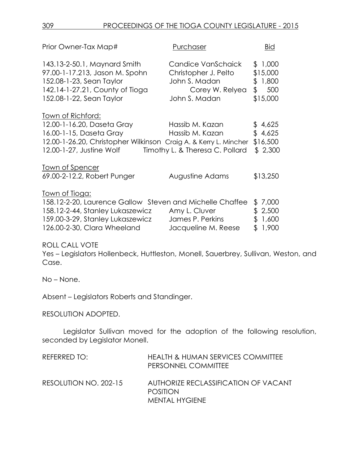| Prior Owner-Tax Map#                                                                                                                                                                      | Purchaser                                                                                       | <b>Bid</b>                                           |
|-------------------------------------------------------------------------------------------------------------------------------------------------------------------------------------------|-------------------------------------------------------------------------------------------------|------------------------------------------------------|
| 143.13-2-50.1, Maynard Smith<br>97.00-1-17.213, Jason M. Spohn<br>152.08-1-23, Sean Taylor<br>142.14-1-27.21, County of Tioga<br>152.08-1-22, Sean Taylor                                 | Candice VanSchaick<br>Christopher J. Pelto<br>John S. Madan<br>Corey W. Relyea<br>John S. Madan | \$1,000<br>\$15,000<br>\$1,800<br>\$ 500<br>\$15,000 |
| Town of Richford:<br>12.00-1-16.20, Daseta Gray<br>16.00-1-15, Daseta Gray<br>12.00-1-26.20, Christopher Wilkinson Craig A. & Kerry L. Mincher<br>12.00-1-27, Justine Wolf                | Hassib M. Kazan<br>Hassib M. Kazan<br>Timothy L. & Theresa C. Pollard                           | \$4,625<br>\$4,625<br>\$16,500<br>\$2,300            |
| <u>Town of Spencer</u><br>69.00-2-12.2, Robert Punger                                                                                                                                     | Augustine Adams                                                                                 | \$13,250                                             |
| <u> Town of Tioga:</u><br>158.12-2-20, Laurence Gallow Steven and Michelle Chaffee<br>158.12-2-44, Stanley Lukaszewicz<br>159.00-3-29, Stanley Lukaszewicz<br>126.00-2-30, Clara Wheeland | Amy L. Cluver<br>James P. Perkins<br>Jacqueline M. Reese                                        | 7,000<br>\$<br>\$2,500<br>\$1,600<br>\$1,900         |

ROLL CALL VOTE

Yes – Legislators Hollenbeck, Huttleston, Monell, Sauerbrey, Sullivan, Weston, and Case.

No – None.

Absent – Legislators Roberts and Standinger.

RESOLUTION ADOPTED.

Legislator Sullivan moved for the adoption of the following resolution, seconded by Legislator Monell.

| REFERRED TO:          | <b>HEALTH &amp; HUMAN SERVICES COMMITTEE</b><br>PERSONNEL COMMITTEE              |
|-----------------------|----------------------------------------------------------------------------------|
| RESOLUTION NO. 202-15 | AUTHORIZE RECLASSIFICATION OF VACANT<br><b>POSITION</b><br><b>MENTAL HYGIENE</b> |